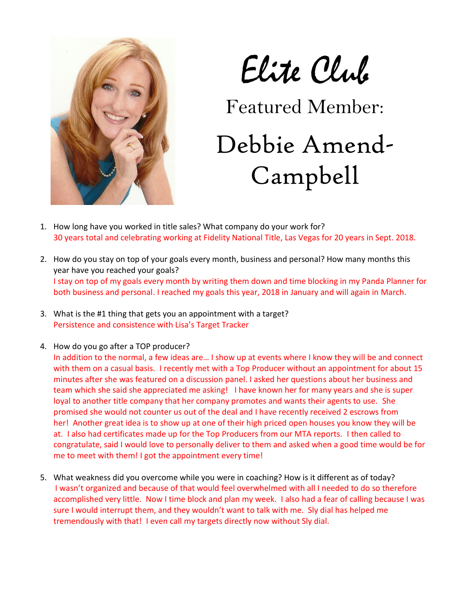

Elite Club

Featured Member:

## Debbie Amend-Campbell

- 1. How long have you worked in title sales? What company do your work for? 30 years total and celebrating working at Fidelity National Title, Las Vegas for 20 years in Sept. 2018.
- 2. How do you stay on top of your goals every month, business and personal? How many months this year have you reached your goals? I stay on top of my goals every month by writing them down and time blocking in my Panda Planner for both business and personal. I reached my goals this year, 2018 in January and will again in March.
- 3. What is the #1 thing that gets you an appointment with a target? Persistence and consistence with Lisa's Target Tracker
- 4. How do you go after a TOP producer?

In addition to the normal, a few ideas are… I show up at events where I know they will be and connect with them on a casual basis. I recently met with a Top Producer without an appointment for about 15 minutes after she was featured on a discussion panel. I asked her questions about her business and team which she said she appreciated me asking! I have known her for many years and she is super loyal to another title company that her company promotes and wants their agents to use. She promised she would not counter us out of the deal and I have recently received 2 escrows from her! Another great idea is to show up at one of their high priced open houses you know they will be at. I also had certificates made up for the Top Producers from our MTA reports. I then called to congratulate, said I would love to personally deliver to them and asked when a good time would be for me to meet with them! I got the appointment every time!

5. What weakness did you overcome while you were in coaching? How is it different as of today? I wasn't organized and because of that would feel overwhelmed with all I needed to do so therefore accomplished very little. Now I time block and plan my week. I also had a fear of calling because I was sure I would interrupt them, and they wouldn't want to talk with me. Sly dial has helped me tremendously with that! I even call my targets directly now without Sly dial.